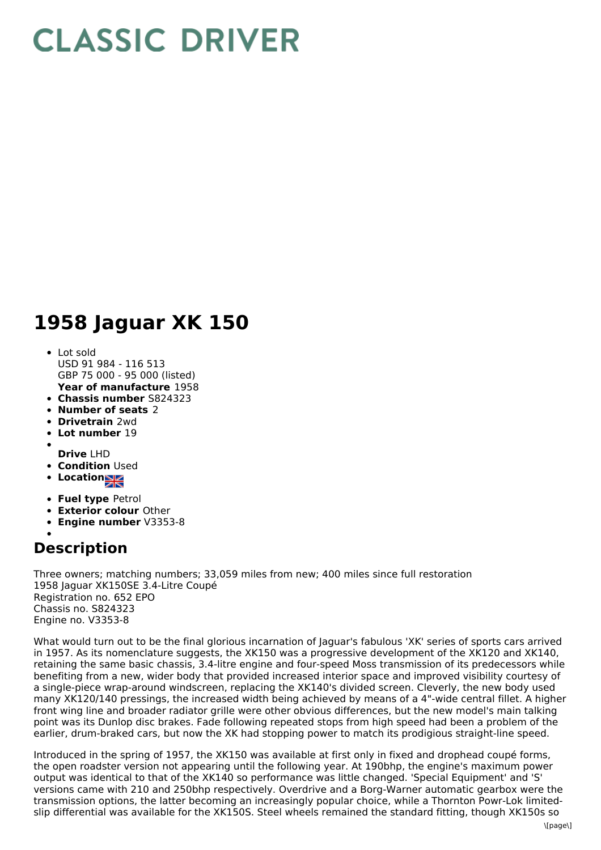## **CLASSIC DRIVER**

## **1958 Jaguar XK 150**

- **Year of manufacture** 1958 Lot sold USD 91 984 - 116 513 GBP 75 000 - 95 000 (listed)
- **Chassis number** S824323
- **Number of seats** 2
- **Drivetrain** 2wd
- **Lot number** 19
- 
- **Drive** LHD
- **Condition Used**
- **Locations**
- **Fuel type** Petrol
- **Exterior colour** Other
- **Engine number** V3353-8

## **Description**

Three owners; matching numbers; 33,059 miles from new; 400 miles since full restoration 1958 Jaguar XK150SE 3.4-Litre Coupé Registration no. 652 EPO Chassis no. S824323 Engine no. V3353-8

What would turn out to be the final glorious incarnation of Jaguar's fabulous 'XK' series of sports cars arrived in 1957. As its nomenclature suggests, the XK150 was a progressive development of the XK120 and XK140, retaining the same basic chassis, 3.4-litre engine and four-speed Moss transmission of its predecessors while benefiting from a new, wider body that provided increased interior space and improved visibility courtesy of a single-piece wrap-around windscreen, replacing the XK140's divided screen. Cleverly, the new body used many XK120/140 pressings, the increased width being achieved by means of a 4"-wide central fillet. A higher front wing line and broader radiator grille were other obvious differences, but the new model's main talking point was its Dunlop disc brakes. Fade following repeated stops from high speed had been a problem of the earlier, drum-braked cars, but now the XK had stopping power to match its prodigious straight-line speed.

Introduced in the spring of 1957, the XK150 was available at first only in fixed and drophead coupé forms, the open roadster version not appearing until the following year. At 190bhp, the engine's maximum power output was identical to that of the XK140 so performance was little changed. 'Special Equipment' and 'S' versions came with 210 and 250bhp respectively. Overdrive and a Borg-Warner automatic gearbox were the transmission options, the latter becoming an increasingly popular choice, while a Thornton Powr-Lok limitedslip differential was available for the XK150S. Steel wheels remained the standard fitting, though XK150s so